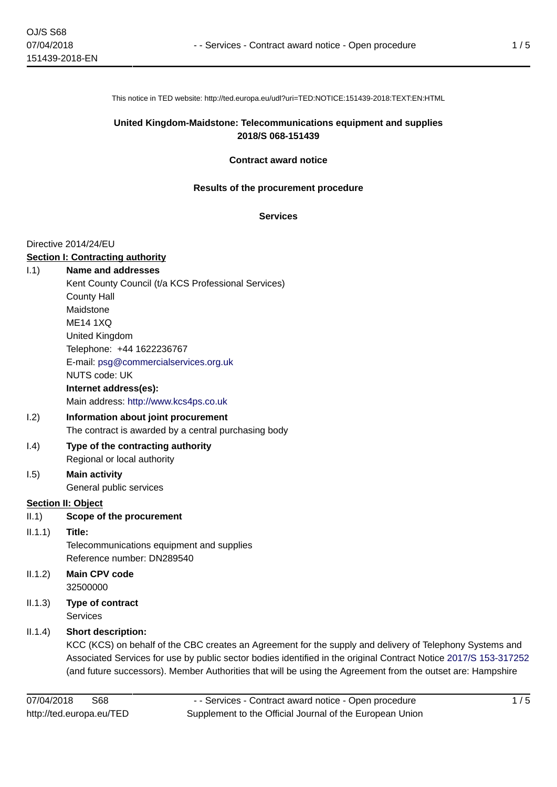This notice in TED website: http://ted.europa.eu/udl?uri=TED:NOTICE:151439-2018:TEXT:EN:HTML

### **United Kingdom-Maidstone: Telecommunications equipment and supplies 2018/S 068-151439**

#### **Contract award notice**

#### **Results of the procurement procedure**

#### **Services**

#### Directive 2014/24/EU

#### **Section I: Contracting authority**

#### I.1) **Name and addresses**

Kent County Council (t/a KCS Professional Services) County Hall Maidstone ME14 1XQ United Kingdom Telephone: +44 1622236767 E-mail: [psg@commercialservices.org.uk](mailto:psg@commercialservices.org.uk)  NUTS code: UK **Internet address(es):** Main address:<http://www.kcs4ps.co.uk>

# I.2) **Information about joint procurement**

The contract is awarded by a central purchasing body I.4) **Type of the contracting authority**

# Regional or local authority

# I.5) **Main activity**

General public services

# **Section II: Object**

II.1) **Scope of the procurement**

# II.1.1) **Title:**

Telecommunications equipment and supplies Reference number: DN289540

- II.1.2) **Main CPV code** 32500000
- II.1.3) **Type of contract Services**

# II.1.4) **Short description:**

KCC (KCS) on behalf of the CBC creates an Agreement for the supply and delivery of Telephony Systems and Associated Services for use by public sector bodies identified in the original Contract Notice [2017/S 153-317252](http://ted.europa.eu/udl?uri=TED:NOTICE:317252-2017:TEXT:EN:HTML) (and future successors). Member Authorities that will be using the Agreement from the outset are: Hampshire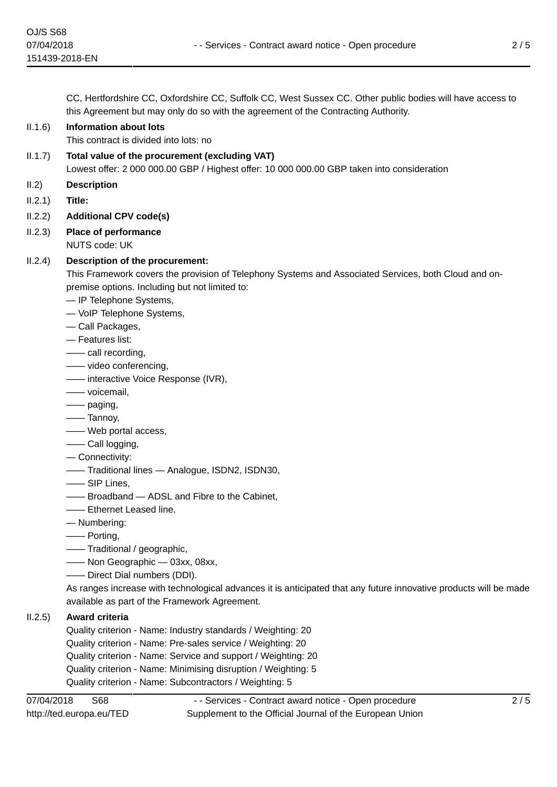CC, Hertfordshire CC, Oxfordshire CC, Suffolk CC, West Sussex CC. Other public bodies will have access to this Agreement but may only do so with the agreement of the Contracting Authority.

# II.1.6) **Information about lots**

This contract is divided into lots: no

II.1.7) **Total value of the procurement (excluding VAT)**

Lowest offer: 2 000 000.00 GBP / Highest offer: 10 000 000.00 GBP taken into consideration

II.2) **Description**

II.2.1) **Title:**

- II.2.2) **Additional CPV code(s)**
- II.2.3) **Place of performance**

NUTS code: UK

# II.2.4) **Description of the procurement:**

This Framework covers the provision of Telephony Systems and Associated Services, both Cloud and onpremise options. Including but not limited to:

- IP Telephone Systems,
- VoIP Telephone Systems,
- Call Packages,
- Features list:
- —— call recording,
- —— video conferencing,
- —— interactive Voice Response (IVR),
- —— voicemail,
- —— paging,
- —— Tannoy,
- —— Web portal access,
- —— Call logging,
- Connectivity:
- —— Traditional lines Analogue, ISDN2, ISDN30,
- —— SIP Lines,
- —— Broadband ADSL and Fibre to the Cabinet,
- —— Ethernet Leased line.
- Numbering:
- —— Porting,
- —— Traditional / geographic,
- —— Non Geographic 03xx, 08xx,
- —— Direct Dial numbers (DDI).

As ranges increase with technological advances it is anticipated that any future innovative products will be made available as part of the Framework Agreement.

# II.2.5) **Award criteria**

Quality criterion - Name: Industry standards / Weighting: 20 Quality criterion - Name: Pre-sales service / Weighting: 20 Quality criterion - Name: Service and support / Weighting: 20 Quality criterion - Name: Minimising disruption / Weighting: 5

Quality criterion - Name: Subcontractors / Weighting: 5

- - Services - Contract award notice - Open procedure Supplement to the Official Journal of the European Union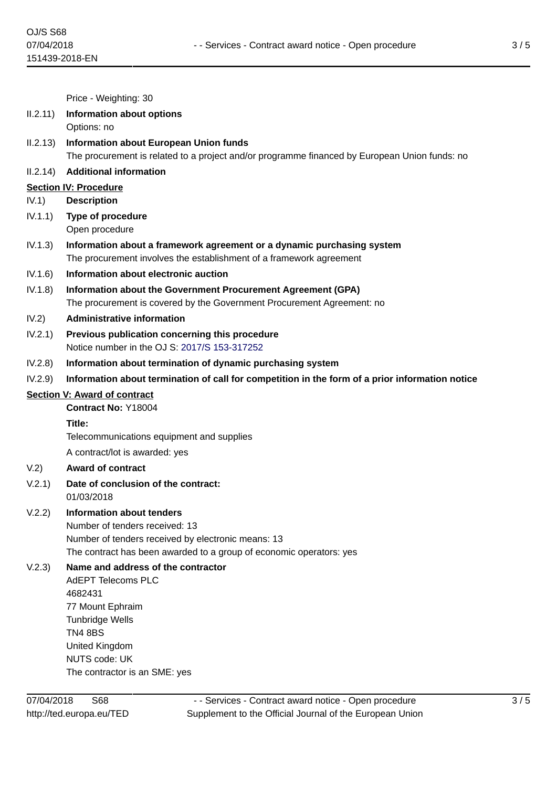Price - Weighting: 30

#### II.2.11) **Information about options**

Options: no

II.2.13) **Information about European Union funds** The procurement is related to a project and/or programme financed by European Union funds: no

#### II.2.14) **Additional information**

#### **Section IV: Procedure**

IV.1) **Description**

- IV.1.1) **Type of procedure** Open procedure
- IV.1.3) **Information about a framework agreement or a dynamic purchasing system** The procurement involves the establishment of a framework agreement
- IV.1.6) **Information about electronic auction**
- IV.1.8) **Information about the Government Procurement Agreement (GPA)** The procurement is covered by the Government Procurement Agreement: no
- IV.2) **Administrative information**
- IV.2.1) **Previous publication concerning this procedure** Notice number in the OJ S: [2017/S 153-317252](http://ted.europa.eu/udl?uri=TED:NOTICE:317252-2017:TEXT:EN:HTML)
- IV.2.8) **Information about termination of dynamic purchasing system**
- IV.2.9) **Information about termination of call for competition in the form of a prior information notice**

#### **Section V: Award of contract**

**Contract No:** Y18004

#### **Title:**

Telecommunications equipment and supplies

A contract/lot is awarded: yes

#### V.2) **Award of contract**

- V.2.1) **Date of conclusion of the contract:** 01/03/2018
- V.2.2) **Information about tenders**
	- Number of tenders received: 13 Number of tenders received by electronic means: 13 The contract has been awarded to a group of economic operators: yes

# V.2.3) **Name and address of the contractor**

AdEPT Telecoms PLC 4682431 77 Mount Ephraim Tunbridge Wells TN4 8BS United Kingdom NUTS code: UK The contractor is an SME: yes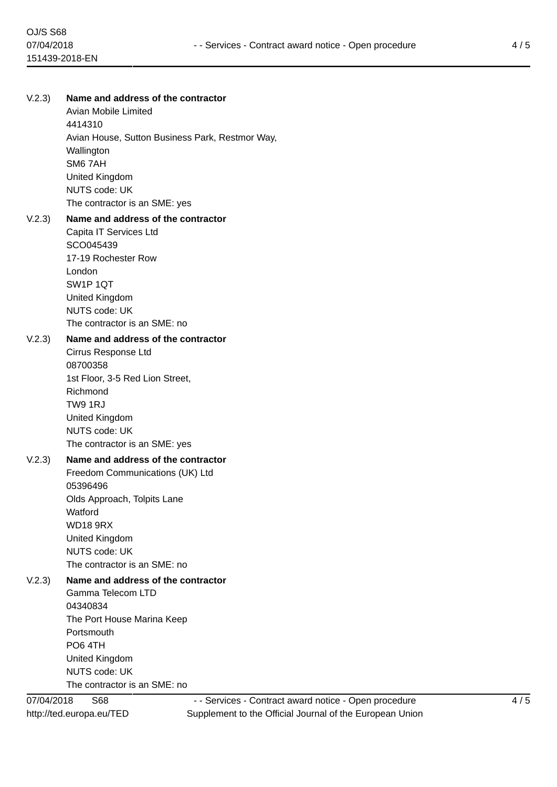# V.2.3) **Name and address of the contractor** Avian Mobile Limited 4414310 Avian House, Sutton Business Park, Restmor Way, Wallington SM6 7AH United Kingdom NUTS code: UK The contractor is an SME: yes V.2.3) **Name and address of the contractor** Capita IT Services Ltd SCO045439 17-19 Rochester Row London SW1P 1QT United Kingdom NUTS code: UK The contractor is an SME: no V.2.3) **Name and address of the contractor** Cirrus Response Ltd 08700358 1st Floor, 3-5 Red Lion Street, Richmond TW9 1RJ United Kingdom NUTS code: UK The contractor is an SME: yes V.2.3) **Name and address of the contractor** Freedom Communications (UK) Ltd 05396496 Olds Approach, Tolpits Lane **Watford** WD18 9RX United Kingdom NUTS code: UK The contractor is an SME: no V.2.3) **Name and address of the contractor** Gamma Telecom LTD 04340834 The Port House Marina Keep Portsmouth PO6 4TH United Kingdom NUTS code: UK

The contractor is an SME: no